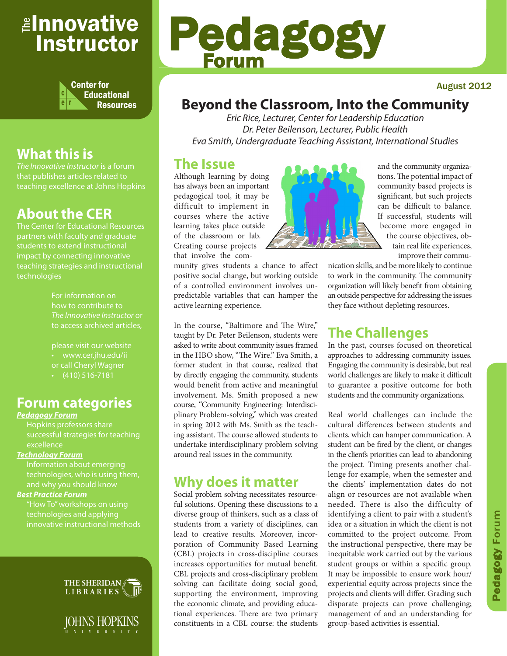## <sub>≝l</sub>nnovative Instructor



## **What this is**

that publishes articles related to teaching excellence at Johns Hopkins

## **About the CER**

The Center for Educational Resources partners with faculty and graduate impact by connecting innovative teaching strategies and instructional technologies

> For information on how to contribute to *The Innovative Instructor* or to access archived articles,

• www.cer.jhu.edu/ii or call Cheryl Wagner  $\cdot$  (410) 516-7181

### **Forum categories**

#### *Pedagogy Forum*

successful strategies for teaching excellence

#### *Technology Forum*

Information about emerging technologies, who is using them,

#### *Best Practice Forum*

technologies and applying





# Pedagogy Forum

#### August 2012

## **Beyond the Classroom, Into the Community**

*Eric Rice, Lecturer, Center for Leadership Education Dr. Peter Beilenson, Lecturer, Public Health Eva Smith, Undergraduate Teaching Assistant, International Studies*

#### **The Issue**

Although learning by doing has always been an important pedagogical tool, it may be difficult to implement in courses where the active learning takes place outside of the classroom or lab. Creating course projects that involve the com-

munity gives students a chance to affect positive social change, but working outside of a controlled environment involves unpredictable variables that can hamper the active learning experience.

In the course, "Baltimore and The Wire," taught by Dr. Peter Beilenson, students were asked to write about community issues framed in the HBO show, "The Wire." Eva Smith, a former student in that course, realized that by directly engaging the community, students would benefit from active and meaningful involvement. Ms. Smith proposed a new course, "Community Engineering: Interdisciplinary Problem-solving," which was created in spring 2012 with Ms. Smith as the teaching assistant. The course allowed students to undertake interdisciplinary problem solving around real issues in the community.

### **Why does it matter**

Social problem solving necessitates resourceful solutions. Opening these discussions to a diverse group of thinkers, such as a class of students from a variety of disciplines, can lead to creative results. Moreover, incorporation of Community Based Learning (CBL) projects in cross-discipline courses increases opportunities for mutual benefit. CBL projects and cross-disciplinary problem solving can facilitate doing social good, supporting the environment, improving the economic climate, and providing educational experiences. There are two primary constituents in a CBL course: the students



and the community organizations. The potential impact of community based projects is significant, but such projects can be difficult to balance. If successful, students will become more engaged in the course objectives, obtain real life experiences, improve their commu-

nication skills, and be more likely to continue to work in the community. The community organization will likely benefit from obtaining an outside perspective for addressing the issues they face without depleting resources.

## **The Challenges**

In the past, courses focused on theoretical approaches to addressing community issues. Engaging the community is desirable, but real world challenges are likely to make it difficult to guarantee a positive outcome for both students and the community organizations.

Real world challenges can include the cultural differences between students and clients, which can hamper communication. A student can be fired by the client, or changes in the client's priorities can lead to abandoning the project. Timing presents another challenge for example, when the semester and the clients' implementation dates do not align or resources are not available when needed. There is also the difficulty of identifying a client to pair with a student's idea or a situation in which the client is not committed to the project outcome. From the instructional perspective, there may be inequitable work carried out by the various student groups or within a specific group. It may be impossible to ensure work hour/ experiential equity across projects since the projects and clients will differ. Grading such disparate projects can prove challenging; management of and an understanding for group-based activities is essential.